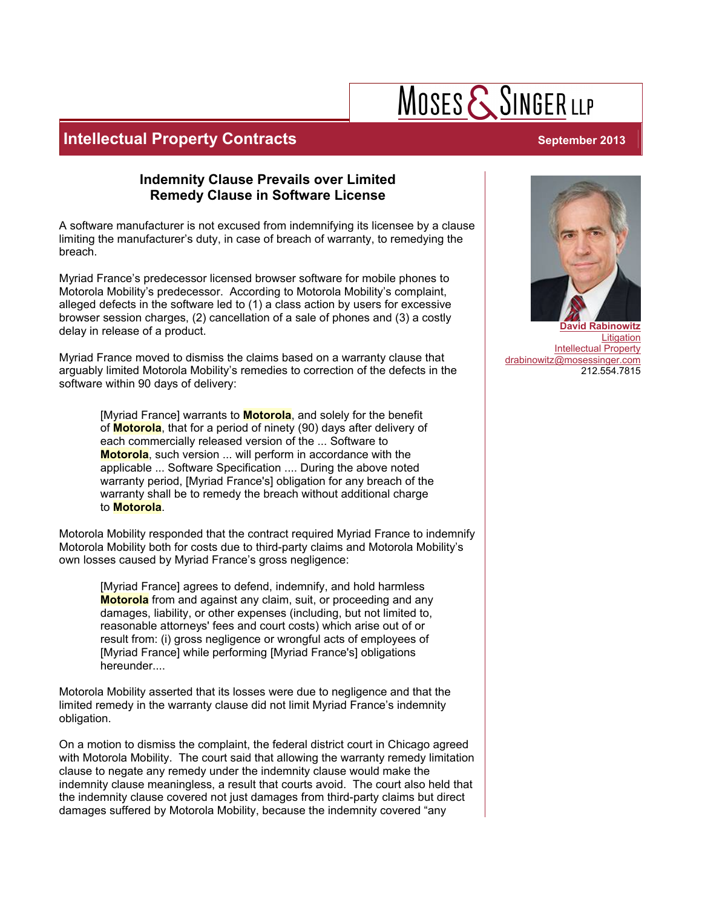# $M$ OSES  $\mathsf{\{S}}$ SINGER LLP

## **Intellectual Property Contracts** *September 2013 September 2013*

### **Indemnity Clause Prevails over Limited Remedy Clause in Software License**

A software manufacturer is not excused from indemnifying its licensee by a clause limiting the manufacturer's duty, in case of breach of warranty, to remedying the breach.

Myriad France's predecessor licensed browser software for mobile phones to Motorola Mobility's predecessor. According to Motorola Mobility's complaint, alleged defects in the software led to (1) a class action by users for excessive browser session charges, (2) cancellation of a sale of phones and (3) a costly delay in release of a product.

Myriad France moved to dismiss the claims based on a warranty clause that arguably limited Motorola Mobility's remedies to correction of the defects in the software within 90 days of delivery:

> [Myriad France] warrants to **Motorola**, and solely for the benefit of **Motorola**, that for a period of ninety (90) days after delivery of each commercially released version of the ... Software to **Motorola**, such version ... will perform in accordance with the applicable ... Software Specification .... During the above noted warranty period, [Myriad France's] obligation for any breach of the warranty shall be to remedy the breach without additional charge to **Motorola**.

Motorola Mobility responded that the contract required Myriad France to indemnify Motorola Mobility both for costs due to third-party claims and Motorola Mobility's own losses caused by Myriad France's gross negligence:

[Myriad France] agrees to defend, indemnify, and hold harmless **Motorola** from and against any claim, suit, or proceeding and any damages, liability, or other expenses (including, but not limited to, reasonable attorneys' fees and court costs) which arise out of or result from: (i) gross negligence or wrongful acts of employees of [Myriad France] while performing [Myriad France's] obligations hereunder....

Motorola Mobility asserted that its losses were due to negligence and that the limited remedy in the warranty clause did not limit Myriad France's indemnity obligation.

On a motion to dismiss the complaint, the federal district court in Chicago agreed with Motorola Mobility. The court said that allowing the warranty remedy limitation clause to negate any remedy under the indemnity clause would make the indemnity clause meaningless, a result that courts avoid. The court also held that the indemnity clause covered not just damages from third-party claims but direct damages suffered by Motorola Mobility, because the indemnity covered "any



**David Rabinowitz** Litigation Intellectual Property drabinowitz@mosessinger.com 212.554.7815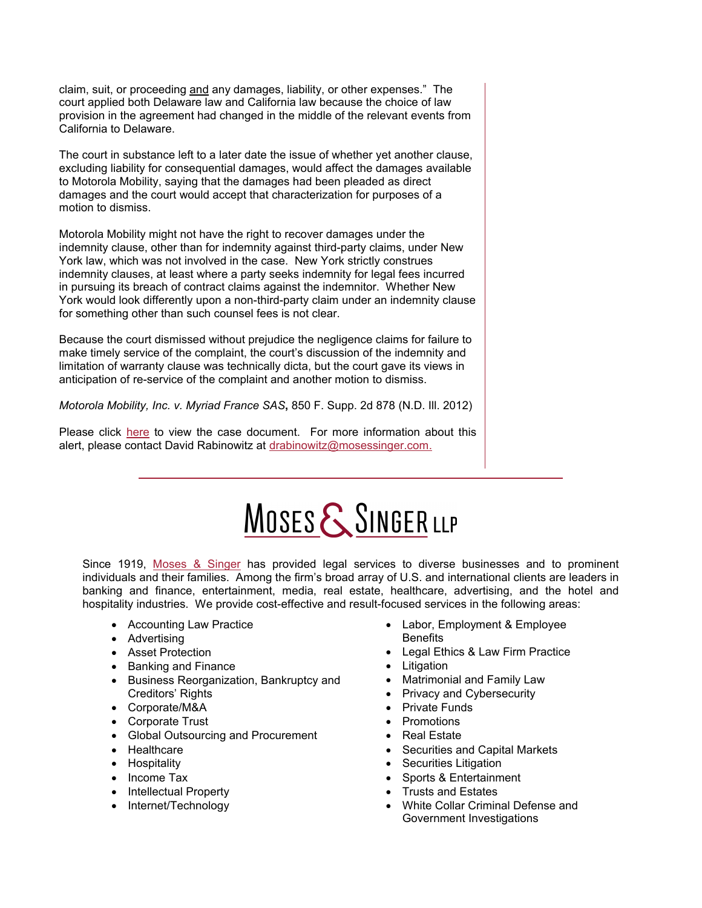claim, suit, or proceeding and any damages, liability, or other expenses." The court applied both Delaware law and California law because the choice of law provision in the agreement had changed in the middle of the relevant events from California to Delaware.

The court in substance left to a later date the issue of whether yet another clause, excluding liability for consequential damages, would affect the damages available to Motorola Mobility, saying that the damages had been pleaded as direct damages and the court would accept that characterization for purposes of a motion to dismiss.

Motorola Mobility might not have the right to recover damages under the indemnity clause, other than for indemnity against third-party claims, under New York law, which was not involved in the case. New York strictly construes indemnity clauses, at least where a party seeks indemnity for legal fees incurred in pursuing its breach of contract claims against the indemnitor. Whether New York would look differently upon a non-third-party claim under an indemnity clause for something other than such counsel fees is not clear.

Because the court dismissed without prejudice the negligence claims for failure to make timely service of the complaint, the court's discussion of the indemnity and limitation of warranty clause was technically dicta, but the court gave its views in anticipation of re-service of the complaint and another motion to dismiss.

*Motorola Mobility, Inc. v. Myriad France SAS***,** 850 F. Supp. 2d 878 (N.D. Ill. 2012)

Please click [here](http://scholar.google.com/scholar_case?case=1210034075784494872&q=motorola+mobility&hl=en&as_sdt=4,323,332) to view the case document. For more information about this alert, please contact David Rabinowitz at [drabinowitz@mosessinger.com.](mailto:drabinowitz@mosessinger.com)

# MOSES & SINGER LLP

Since 1919, [Moses & Singer](http://www.mosessinger.com/) has provided legal services to diverse businesses and to prominent individuals and their families. Among the firm's broad array of U.S. and international clients are leaders in banking and finance, entertainment, media, real estate, healthcare, advertising, and the hotel and hospitality industries. We provide cost-effective and result-focused services in the following areas:

- Accounting Law Practice
- Advertising
- Asset Protection
- Banking and Finance
- Business Reorganization, Bankruptcy and Creditors' Rights
- Corporate/M&A
- Corporate Trust
- Global Outsourcing and Procurement
- Healthcare
- Hospitality
- Income Tax
- Intellectual Property
- Internet/Technology
- Labor, Employment & Employee **Benefits**
- Legal Ethics & Law Firm Practice
- Litigation
- Matrimonial and Family Law
- Privacy and Cybersecurity
- Private Funds
- Promotions
- Real Estate
- Securities and Capital Markets
- Securities Litigation
- Sports & Entertainment
- Trusts and Estates
- White Collar Criminal Defense and Government Investigations